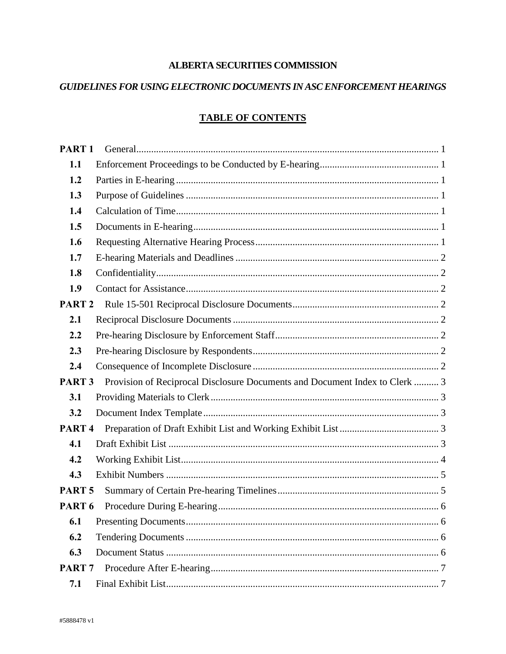# **ALBERTA SECURITIES COMMISSION**

# GUIDELINES FOR USING ELECTRONIC DOCUMENTS IN ASC ENFORCEMENT HEARINGS

# **TABLE OF CONTENTS**

| PART <sub>1</sub> |                                                                             |  |
|-------------------|-----------------------------------------------------------------------------|--|
| 1.1               |                                                                             |  |
| 1.2               |                                                                             |  |
| 1.3               |                                                                             |  |
| 1.4               |                                                                             |  |
| 1.5               |                                                                             |  |
| 1.6               |                                                                             |  |
| 1.7               |                                                                             |  |
| 1.8               |                                                                             |  |
| 1.9               |                                                                             |  |
| PART <sub>2</sub> |                                                                             |  |
| 2.1               |                                                                             |  |
| 2.2               |                                                                             |  |
| 2.3               |                                                                             |  |
| 2.4               |                                                                             |  |
| PART <sub>3</sub> | Provision of Reciprocal Disclosure Documents and Document Index to Clerk  3 |  |
| 3.1               |                                                                             |  |
| 3.2               |                                                                             |  |
| PART <sub>4</sub> |                                                                             |  |
| 4.1               |                                                                             |  |
| 4.2               |                                                                             |  |
| 4.3               |                                                                             |  |
| PART <sub>5</sub> |                                                                             |  |
| PART <sub>6</sub> |                                                                             |  |
| 6.1               |                                                                             |  |
| 6.2               |                                                                             |  |
| 6.3               |                                                                             |  |
| PART <sub>7</sub> |                                                                             |  |
| 7.1               |                                                                             |  |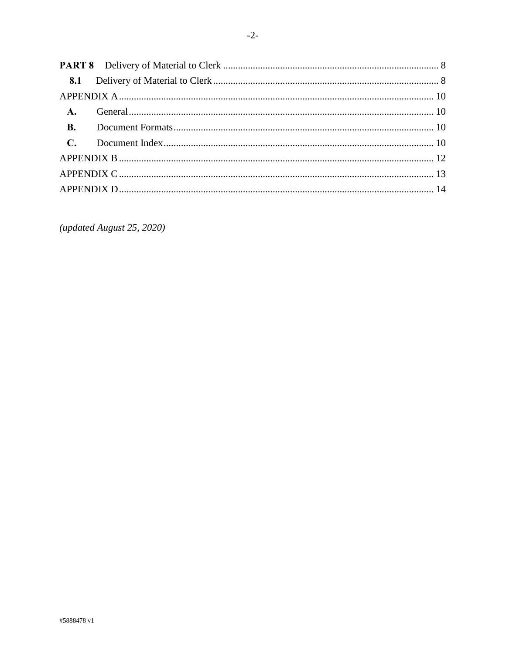| <b>B.</b> |  |
|-----------|--|
|           |  |
|           |  |
|           |  |
|           |  |

(updated August 25, 2020)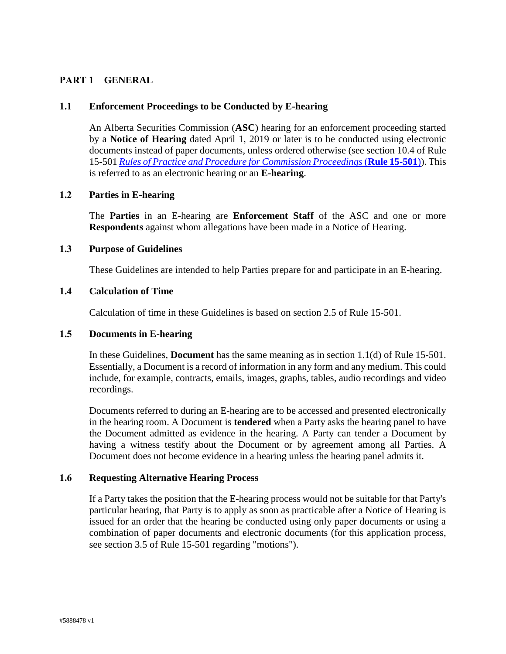## <span id="page-2-0"></span>**PART 1 GENERAL**

### <span id="page-2-1"></span>**1.1 Enforcement Proceedings to be Conducted by E-hearing**

An Alberta Securities Commission (**ASC**) hearing for an enforcement proceeding started by a **Notice of Hearing** dated April 1, 2019 or later is to be conducted using electronic documents instead of paper documents, unless ordered otherwise (see section 10.4 of Rule 15-501 *[Rules of Practice and Procedure for Commission Proceedings](https://www.albertasecurities.com/securities-law-and-policy/regulatory-instruments/15-501)* (**Rule 15-501**)). This is referred to as an electronic hearing or an **E-hearing**.

### <span id="page-2-2"></span>**1.2 Parties in E-hearing**

The **Parties** in an E-hearing are **Enforcement Staff** of the ASC and one or more **Respondents** against whom allegations have been made in a Notice of Hearing.

### <span id="page-2-3"></span>**1.3 Purpose of Guidelines**

These Guidelines are intended to help Parties prepare for and participate in an E-hearing.

### <span id="page-2-4"></span>**1.4 Calculation of Time**

Calculation of time in these Guidelines is based on section 2.5 of Rule 15-501.

#### <span id="page-2-5"></span>**1.5 Documents in E-hearing**

In these Guidelines, **Document** has the same meaning as in section 1.1(d) of Rule 15-501. Essentially, a Document is a record of information in any form and any medium. This could include, for example, contracts, emails, images, graphs, tables, audio recordings and video recordings.

Documents referred to during an E-hearing are to be accessed and presented electronically in the hearing room. A Document is **tendered** when a Party asks the hearing panel to have the Document admitted as evidence in the hearing. A Party can tender a Document by having a witness testify about the Document or by agreement among all Parties. A Document does not become evidence in a hearing unless the hearing panel admits it.

#### <span id="page-2-6"></span>**1.6 Requesting Alternative Hearing Process**

If a Party takes the position that the E-hearing process would not be suitable for that Party's particular hearing, that Party is to apply as soon as practicable after a Notice of Hearing is issued for an order that the hearing be conducted using only paper documents or using a combination of paper documents and electronic documents (for this application process, see section 3.5 of Rule 15-501 regarding "motions").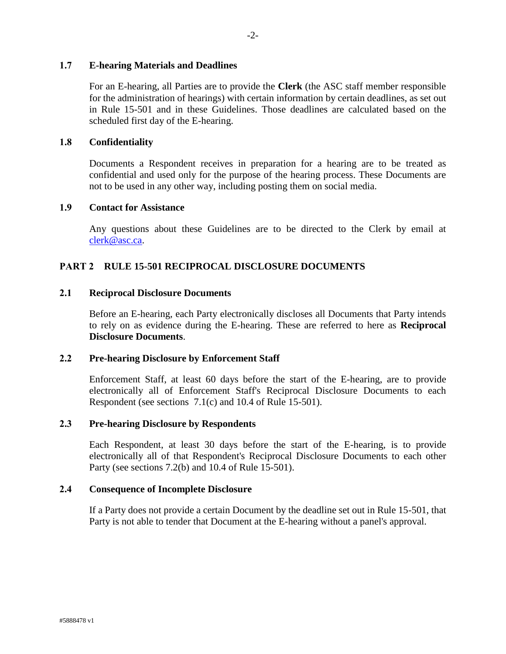### <span id="page-3-0"></span>**1.7 E-hearing Materials and Deadlines**

For an E-hearing, all Parties are to provide the **Clerk** (the ASC staff member responsible for the administration of hearings) with certain information by certain deadlines, as set out in Rule 15-501 and in these Guidelines. Those deadlines are calculated based on the scheduled first day of the E-hearing.

### <span id="page-3-1"></span>**1.8 Confidentiality**

Documents a Respondent receives in preparation for a hearing are to be treated as confidential and used only for the purpose of the hearing process. These Documents are not to be used in any other way, including posting them on social media.

#### <span id="page-3-2"></span>**1.9 Contact for Assistance**

Any questions about these Guidelines are to be directed to the Clerk by email at [clerk@asc.ca.](mailto:clerk@asc.ca)

### <span id="page-3-3"></span>**PART 2 RULE 15-501 RECIPROCAL DISCLOSURE DOCUMENTS**

### <span id="page-3-4"></span>**2.1 Reciprocal Disclosure Documents**

Before an E-hearing, each Party electronically discloses all Documents that Party intends to rely on as evidence during the E-hearing. These are referred to here as **Reciprocal Disclosure Documents**.

#### <span id="page-3-5"></span>**2.2 Pre-hearing Disclosure by Enforcement Staff**

Enforcement Staff, at least 60 days before the start of the E-hearing, are to provide electronically all of Enforcement Staff's Reciprocal Disclosure Documents to each Respondent (see sections 7.1(c) and 10.4 of Rule 15-501).

### <span id="page-3-6"></span>**2.3 Pre-hearing Disclosure by Respondents**

Each Respondent, at least 30 days before the start of the E-hearing, is to provide electronically all of that Respondent's Reciprocal Disclosure Documents to each other Party (see sections 7.2(b) and 10.4 of Rule 15-501).

#### <span id="page-3-7"></span>**2.4 Consequence of Incomplete Disclosure**

If a Party does not provide a certain Document by the deadline set out in Rule 15-501, that Party is not able to tender that Document at the E-hearing without a panel's approval.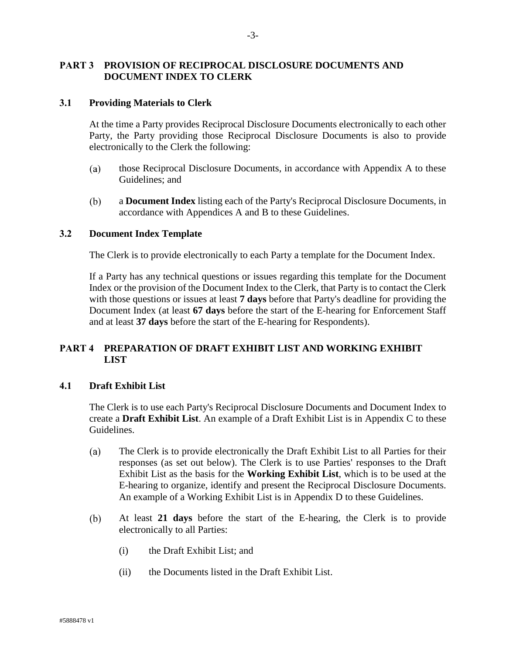## <span id="page-4-0"></span>**PART 3 PROVISION OF RECIPROCAL DISCLOSURE DOCUMENTS AND DOCUMENT INDEX TO CLERK**

#### <span id="page-4-1"></span>**3.1 Providing Materials to Clerk**

At the time a Party provides Reciprocal Disclosure Documents electronically to each other Party, the Party providing those Reciprocal Disclosure Documents is also to provide electronically to the Clerk the following:

- those Reciprocal Disclosure Documents, in accordance with Appendix A to these (a) Guidelines; and
- $(b)$ a **Document Index** listing each of the Party's Reciprocal Disclosure Documents, in accordance with Appendices A and B to these Guidelines.

#### <span id="page-4-2"></span>**3.2 Document Index Template**

The Clerk is to provide electronically to each Party a template for the Document Index.

If a Party has any technical questions or issues regarding this template for the Document Index or the provision of the Document Index to the Clerk, that Party is to contact the Clerk with those questions or issues at least **7 days** before that Party's deadline for providing the Document Index (at least **67 days** before the start of the E-hearing for Enforcement Staff and at least **37 days** before the start of the E-hearing for Respondents).

## <span id="page-4-3"></span>**PART 4 PREPARATION OF DRAFT EXHIBIT LIST AND WORKING EXHIBIT LIST**

### <span id="page-4-4"></span>**4.1 Draft Exhibit List**

The Clerk is to use each Party's Reciprocal Disclosure Documents and Document Index to create a **Draft Exhibit List**. An example of a Draft Exhibit List is in Appendix C to these Guidelines.

- (a) The Clerk is to provide electronically the Draft Exhibit List to all Parties for their responses (as set out below). The Clerk is to use Parties' responses to the Draft Exhibit List as the basis for the **Working Exhibit List**, which is to be used at the E-hearing to organize, identify and present the Reciprocal Disclosure Documents. An example of a Working Exhibit List is in Appendix D to these Guidelines.
- $(b)$ At least **21 days** before the start of the E-hearing, the Clerk is to provide electronically to all Parties:
	- (i) the Draft Exhibit List; and
	- (ii) the Documents listed in the Draft Exhibit List.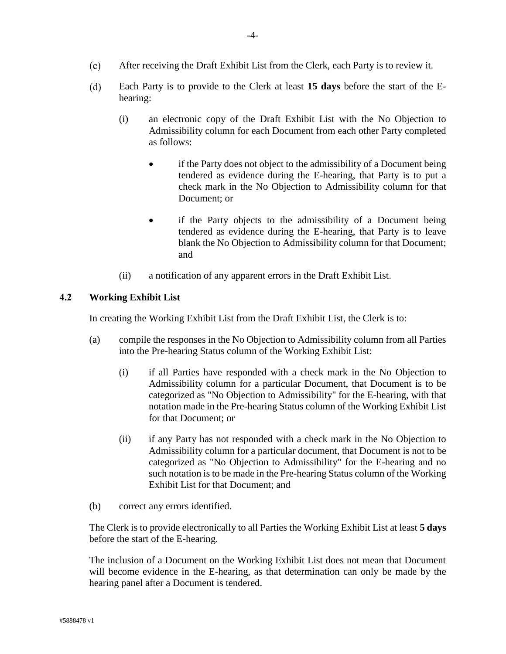- $(c)$ After receiving the Draft Exhibit List from the Clerk, each Party is to review it.
- $(d)$ Each Party is to provide to the Clerk at least **15 days** before the start of the Ehearing:
	- (i) an electronic copy of the Draft Exhibit List with the No Objection to Admissibility column for each Document from each other Party completed as follows:
		- if the Party does not object to the admissibility of a Document being tendered as evidence during the E-hearing, that Party is to put a check mark in the No Objection to Admissibility column for that Document; or
		- if the Party objects to the admissibility of a Document being tendered as evidence during the E-hearing, that Party is to leave blank the No Objection to Admissibility column for that Document; and
	- (ii) a notification of any apparent errors in the Draft Exhibit List.

### <span id="page-5-0"></span>**4.2 Working Exhibit List**

In creating the Working Exhibit List from the Draft Exhibit List, the Clerk is to:

- (a) compile the responses in the No Objection to Admissibility column from all Parties into the Pre-hearing Status column of the Working Exhibit List:
	- (i) if all Parties have responded with a check mark in the No Objection to Admissibility column for a particular Document, that Document is to be categorized as "No Objection to Admissibility" for the E-hearing, with that notation made in the Pre-hearing Status column of the Working Exhibit List for that Document; or
	- (ii) if any Party has not responded with a check mark in the No Objection to Admissibility column for a particular document, that Document is not to be categorized as "No Objection to Admissibility" for the E-hearing and no such notation is to be made in the Pre-hearing Status column of the Working Exhibit List for that Document; and
- (b) correct any errors identified.

The Clerk is to provide electronically to all Parties the Working Exhibit List at least **5 days** before the start of the E-hearing.

The inclusion of a Document on the Working Exhibit List does not mean that Document will become evidence in the E-hearing, as that determination can only be made by the hearing panel after a Document is tendered.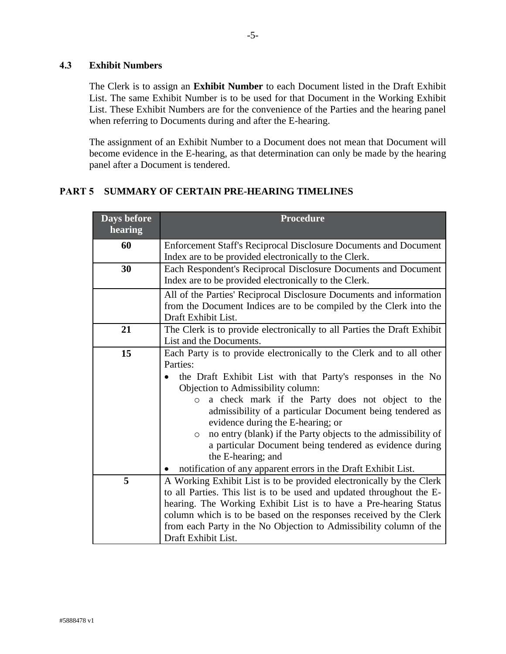## <span id="page-6-0"></span>**4.3 Exhibit Numbers**

The Clerk is to assign an **Exhibit Number** to each Document listed in the Draft Exhibit List. The same Exhibit Number is to be used for that Document in the Working Exhibit List. These Exhibit Numbers are for the convenience of the Parties and the hearing panel when referring to Documents during and after the E-hearing.

The assignment of an Exhibit Number to a Document does not mean that Document will become evidence in the E-hearing, as that determination can only be made by the hearing panel after a Document is tendered.

# <span id="page-6-1"></span>**PART 5 SUMMARY OF CERTAIN PRE-HEARING TIMELINES**

| <b>Days before</b><br>hearing | <b>Procedure</b>                                                                                                                                                                                                                                                                                                                                                                                                                                                                                                                                                                       |  |  |  |  |  |  |
|-------------------------------|----------------------------------------------------------------------------------------------------------------------------------------------------------------------------------------------------------------------------------------------------------------------------------------------------------------------------------------------------------------------------------------------------------------------------------------------------------------------------------------------------------------------------------------------------------------------------------------|--|--|--|--|--|--|
| 60                            | Enforcement Staff's Reciprocal Disclosure Documents and Document<br>Index are to be provided electronically to the Clerk.                                                                                                                                                                                                                                                                                                                                                                                                                                                              |  |  |  |  |  |  |
| 30                            | Each Respondent's Reciprocal Disclosure Documents and Document<br>Index are to be provided electronically to the Clerk.                                                                                                                                                                                                                                                                                                                                                                                                                                                                |  |  |  |  |  |  |
|                               | All of the Parties' Reciprocal Disclosure Documents and information<br>from the Document Indices are to be compiled by the Clerk into the<br>Draft Exhibit List.                                                                                                                                                                                                                                                                                                                                                                                                                       |  |  |  |  |  |  |
| 21                            | The Clerk is to provide electronically to all Parties the Draft Exhibit<br>List and the Documents.                                                                                                                                                                                                                                                                                                                                                                                                                                                                                     |  |  |  |  |  |  |
| 15                            | Each Party is to provide electronically to the Clerk and to all other<br>Parties:<br>the Draft Exhibit List with that Party's responses in the No<br>Objection to Admissibility column:<br>a check mark if the Party does not object to the<br>$\circ$<br>admissibility of a particular Document being tendered as<br>evidence during the E-hearing; or<br>no entry (blank) if the Party objects to the admissibility of<br>$\circ$<br>a particular Document being tendered as evidence during<br>the E-hearing; and<br>notification of any apparent errors in the Draft Exhibit List. |  |  |  |  |  |  |
| 5                             | A Working Exhibit List is to be provided electronically by the Clerk<br>to all Parties. This list is to be used and updated throughout the E-<br>hearing. The Working Exhibit List is to have a Pre-hearing Status<br>column which is to be based on the responses received by the Clerk<br>from each Party in the No Objection to Admissibility column of the<br>Draft Exhibit List.                                                                                                                                                                                                  |  |  |  |  |  |  |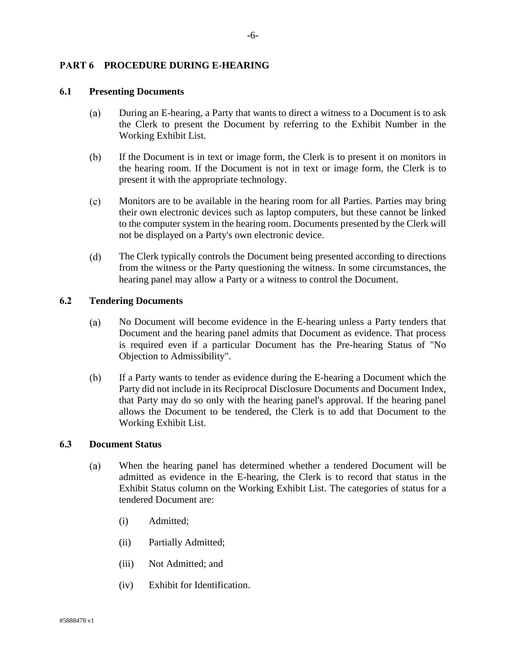### <span id="page-7-0"></span>**PART 6 PROCEDURE DURING E-HEARING**

## <span id="page-7-1"></span>**6.1 Presenting Documents**

- $(a)$ During an E-hearing, a Party that wants to direct a witness to a Document is to ask the Clerk to present the Document by referring to the Exhibit Number in the Working Exhibit List.
- $(b)$ If the Document is in text or image form, the Clerk is to present it on monitors in the hearing room. If the Document is not in text or image form, the Clerk is to present it with the appropriate technology.
- $(c)$ Monitors are to be available in the hearing room for all Parties. Parties may bring their own electronic devices such as laptop computers, but these cannot be linked to the computer system in the hearing room. Documents presented by the Clerk will not be displayed on a Party's own electronic device.
- $(d)$ The Clerk typically controls the Document being presented according to directions from the witness or the Party questioning the witness. In some circumstances, the hearing panel may allow a Party or a witness to control the Document.

### <span id="page-7-2"></span>**6.2 Tendering Documents**

- No Document will become evidence in the E-hearing unless a Party tenders that (a) Document and the hearing panel admits that Document as evidence. That process is required even if a particular Document has the Pre-hearing Status of "No Objection to Admissibility".
- $(b)$ If a Party wants to tender as evidence during the E-hearing a Document which the Party did not include in its Reciprocal Disclosure Documents and Document Index, that Party may do so only with the hearing panel's approval. If the hearing panel allows the Document to be tendered, the Clerk is to add that Document to the Working Exhibit List.

### <span id="page-7-3"></span>**6.3 Document Status**

- When the hearing panel has determined whether a tendered Document will be  $(a)$ admitted as evidence in the E-hearing, the Clerk is to record that status in the Exhibit Status column on the Working Exhibit List. The categories of status for a tendered Document are:
	- (i) Admitted;
	- (ii) Partially Admitted;
	- (iii) Not Admitted; and
	- (iv) Exhibit for Identification.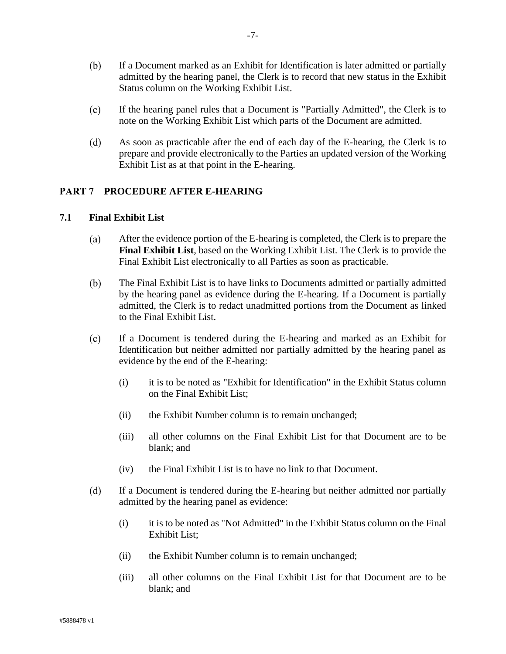- $(b)$ If a Document marked as an Exhibit for Identification is later admitted or partially admitted by the hearing panel, the Clerk is to record that new status in the Exhibit Status column on the Working Exhibit List.
- $(c)$ If the hearing panel rules that a Document is "Partially Admitted", the Clerk is to note on the Working Exhibit List which parts of the Document are admitted.
- $(d)$ As soon as practicable after the end of each day of the E-hearing, the Clerk is to prepare and provide electronically to the Parties an updated version of the Working Exhibit List as at that point in the E-hearing.

## <span id="page-8-0"></span>**PART 7 PROCEDURE AFTER E-HEARING**

### <span id="page-8-1"></span>**7.1 Final Exhibit List**

- (a) After the evidence portion of the E-hearing is completed, the Clerk is to prepare the **Final Exhibit List**, based on the Working Exhibit List. The Clerk is to provide the Final Exhibit List electronically to all Parties as soon as practicable.
- $(b)$ The Final Exhibit List is to have links to Documents admitted or partially admitted by the hearing panel as evidence during the E-hearing. If a Document is partially admitted, the Clerk is to redact unadmitted portions from the Document as linked to the Final Exhibit List.
- $(c)$ If a Document is tendered during the E-hearing and marked as an Exhibit for Identification but neither admitted nor partially admitted by the hearing panel as evidence by the end of the E-hearing:
	- (i) it is to be noted as "Exhibit for Identification" in the Exhibit Status column on the Final Exhibit List;
	- (ii) the Exhibit Number column is to remain unchanged;
	- (iii) all other columns on the Final Exhibit List for that Document are to be blank; and
	- (iv) the Final Exhibit List is to have no link to that Document.
- $(d)$ If a Document is tendered during the E-hearing but neither admitted nor partially admitted by the hearing panel as evidence:
	- (i) it is to be noted as "Not Admitted" in the Exhibit Status column on the Final Exhibit List;
	- (ii) the Exhibit Number column is to remain unchanged;
	- (iii) all other columns on the Final Exhibit List for that Document are to be blank; and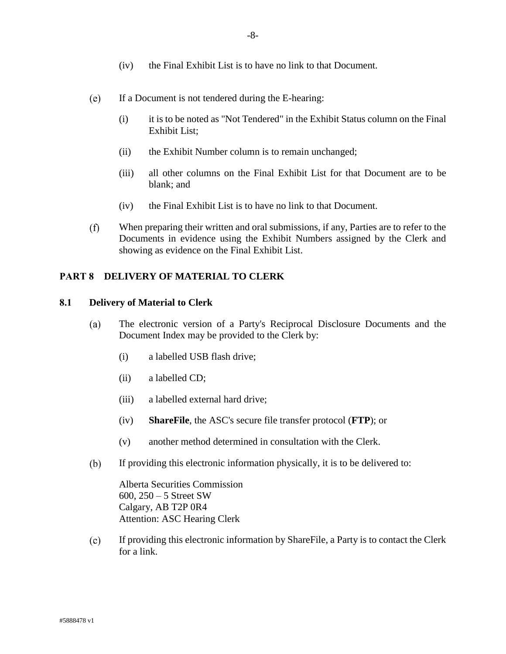- (e) If a Document is not tendered during the E-hearing:
	- (i) it is to be noted as "Not Tendered" in the Exhibit Status column on the Final Exhibit List;
	- (ii) the Exhibit Number column is to remain unchanged;
	- (iii) all other columns on the Final Exhibit List for that Document are to be blank; and
	- (iv) the Final Exhibit List is to have no link to that Document.
- $(f)$ When preparing their written and oral submissions, if any, Parties are to refer to the Documents in evidence using the Exhibit Numbers assigned by the Clerk and showing as evidence on the Final Exhibit List.

### <span id="page-9-0"></span>**PART 8 DELIVERY OF MATERIAL TO CLERK**

### <span id="page-9-1"></span>**8.1 Delivery of Material to Clerk**

- $(a)$ The electronic version of a Party's Reciprocal Disclosure Documents and the Document Index may be provided to the Clerk by:
	- (i) a labelled USB flash drive;
	- (ii) a labelled CD;
	- (iii) a labelled external hard drive;
	- (iv) **ShareFile**, the ASC's secure file transfer protocol (**FTP**); or
	- (v) another method determined in consultation with the Clerk.
- $(b)$ If providing this electronic information physically, it is to be delivered to:

Alberta Securities Commission 600, 250 – 5 Street SW Calgary, AB T2P 0R4 Attention: ASC Hearing Clerk

 $(c)$ If providing this electronic information by ShareFile, a Party is to contact the Clerk for a link.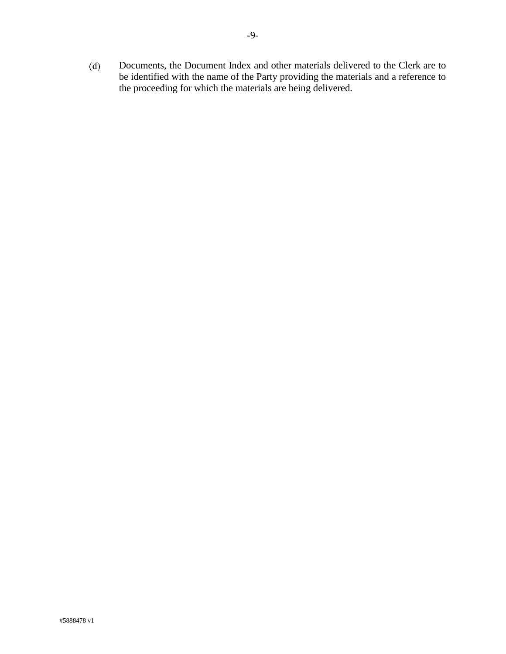Documents, the Document Index and other materials delivered to the Clerk are to  $(d)$ be identified with the name of the Party providing the materials and a reference to the proceeding for which the materials are being delivered.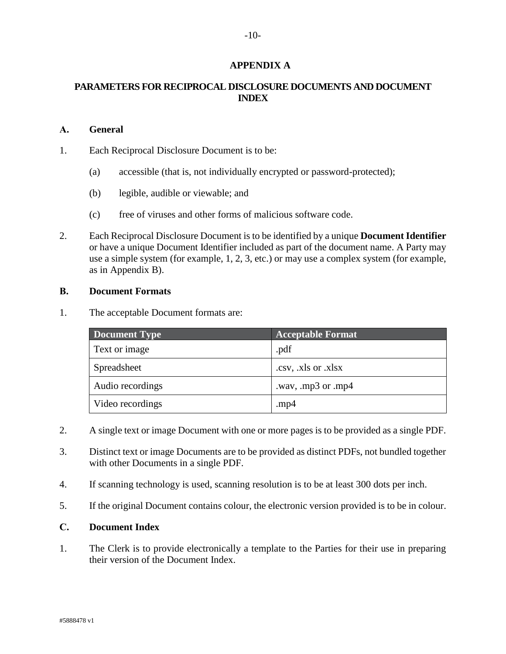## **APPENDIX A**

## <span id="page-11-0"></span>**PARAMETERS FOR RECIPROCAL DISCLOSURE DOCUMENTS AND DOCUMENT INDEX**

### <span id="page-11-1"></span>**A. General**

1. Each Reciprocal Disclosure Document is to be:

- (a) accessible (that is, not individually encrypted or password-protected);
- (b) legible, audible or viewable; and
- (c) free of viruses and other forms of malicious software code.
- <span id="page-11-4"></span>2. Each Reciprocal Disclosure Document is to be identified by a unique **Document Identifier** or have a unique Document Identifier included as part of the document name. A Party may use a simple system (for example, 1, 2, 3, etc.) or may use a complex system (for example, as in Appendix B).

### <span id="page-11-2"></span>**B. Document Formats**

1. The acceptable Document formats are:

| Document Type    | <b>Acceptable Format</b> |
|------------------|--------------------------|
| Text or image    | .pdf                     |
| Spreadsheet      | .csv, .xls or .xlsx      |
| Audio recordings | .wav, .mp3 or .mp4       |
| Video recordings | .mp $4$                  |

- 2. A single text or image Document with one or more pages is to be provided as a single PDF.
- 3. Distinct text or image Documents are to be provided as distinct PDFs, not bundled together with other Documents in a single PDF.
- 4. If scanning technology is used, scanning resolution is to be at least 300 dots per inch.
- 5. If the original Document contains colour, the electronic version provided is to be in colour.

## <span id="page-11-3"></span>**C. Document Index**

1. The Clerk is to provide electronically a template to the Parties for their use in preparing their version of the Document Index.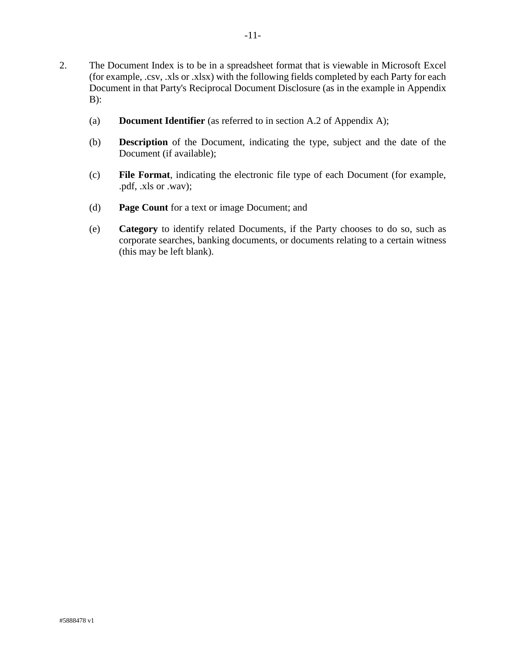-11-

- (a) **Document Identifier** (as referred to in section [A.2](#page-11-4) of Appendix A);
- (b) **Description** of the Document, indicating the type, subject and the date of the Document (if available);
- (c) **File Format**, indicating the electronic file type of each Document (for example, .pdf, .xls or .wav);
- (d) **Page Count** for a text or image Document; and
- (e) **Category** to identify related Documents, if the Party chooses to do so, such as corporate searches, banking documents, or documents relating to a certain witness (this may be left blank).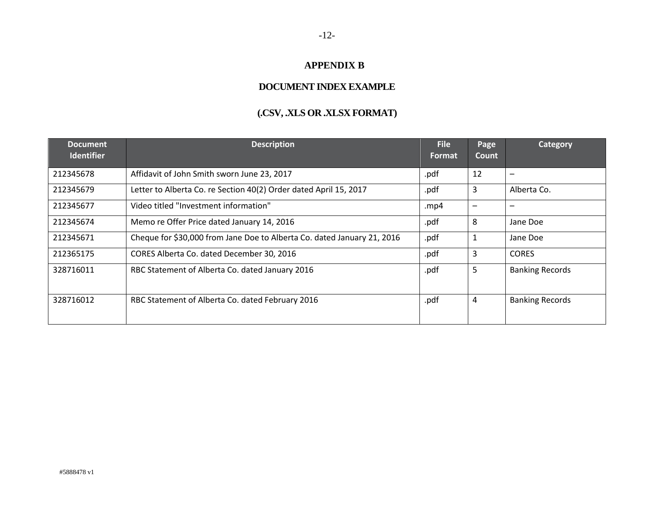# **APPENDIX B**

# **DOCUMENT INDEX EXAMPLE**

# **(.CSV, .XLS OR .XLSX FORMAT)**

<span id="page-13-0"></span>

| <b>Document</b><br><b>Identifier</b> | <b>Description</b>                                                      | <b>File</b><br><b>Format</b> | <b>Page</b><br><b>Count</b> | Category                     |
|--------------------------------------|-------------------------------------------------------------------------|------------------------------|-----------------------------|------------------------------|
| 212345678                            | Affidavit of John Smith sworn June 23, 2017                             | .pdf                         | 12                          | $\qquad \qquad \blacksquare$ |
| 212345679                            | Letter to Alberta Co. re Section 40(2) Order dated April 15, 2017       | .pdf                         | 3                           | Alberta Co.                  |
| 212345677                            | Video titled "Investment information"                                   | .mp4                         |                             |                              |
| 212345674                            | Memo re Offer Price dated January 14, 2016                              | .pdf                         | 8                           | Jane Doe                     |
| 212345671                            | Cheque for \$30,000 from Jane Doe to Alberta Co. dated January 21, 2016 | .pdf                         |                             | Jane Doe                     |
| 212365175                            | CORES Alberta Co. dated December 30, 2016                               | .pdf                         | 3                           | <b>CORES</b>                 |
| 328716011                            | RBC Statement of Alberta Co. dated January 2016                         | .pdf                         | 5                           | <b>Banking Records</b>       |
| 328716012                            | RBC Statement of Alberta Co. dated February 2016                        | .pdf                         | 4                           | <b>Banking Records</b>       |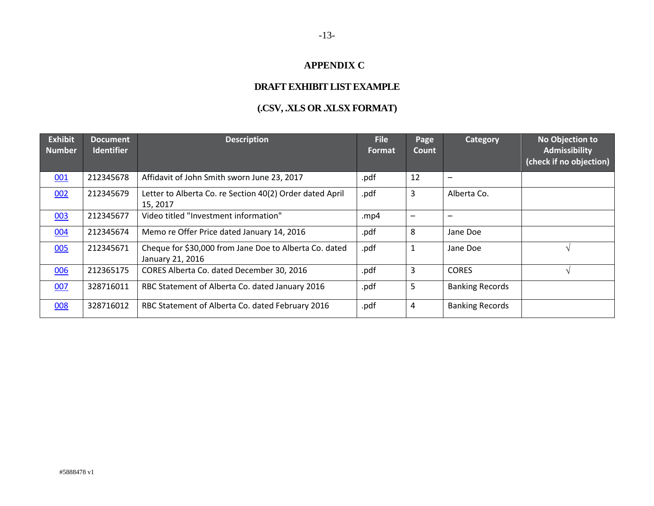# **APPENDIX C**

# **DRAFT EXHIBIT LISTEXAMPLE**

# **(.CSV, .XLS OR .XLSX FORMAT)**

<span id="page-14-0"></span>

| <b>Exhibit</b><br><b>Number</b> | <b>Document</b><br><b>Identifier</b> | <b>Description</b>                                                         | <b>File</b><br>Format | Page<br>Count            | Category               | No Objection to<br><b>Admissibility</b><br>(check if no objection) |
|---------------------------------|--------------------------------------|----------------------------------------------------------------------------|-----------------------|--------------------------|------------------------|--------------------------------------------------------------------|
| 001                             | 212345678                            | Affidavit of John Smith sworn June 23, 2017                                | .pdf                  | 12                       |                        |                                                                    |
| 002                             | 212345679                            | Letter to Alberta Co. re Section 40(2) Order dated April<br>15, 2017       | .pdf                  | 3                        | Alberta Co.            |                                                                    |
| 003                             | 212345677                            | Video titled "Investment information"                                      | . $mp4$               | $\overline{\phantom{m}}$ |                        |                                                                    |
| 004                             | 212345674                            | Memo re Offer Price dated January 14, 2016                                 | .pdf                  | 8                        | Jane Doe               |                                                                    |
| 005                             | 212345671                            | Cheque for \$30,000 from Jane Doe to Alberta Co. dated<br>January 21, 2016 | .pdf                  | $\mathbf{1}$             | Jane Doe               |                                                                    |
| 006                             | 212365175                            | CORES Alberta Co. dated December 30, 2016                                  | .pdf                  | 3                        | <b>CORES</b>           |                                                                    |
| 007                             | 328716011                            | RBC Statement of Alberta Co. dated January 2016                            | .pdf                  | 5                        | <b>Banking Records</b> |                                                                    |
| 008                             | 328716012                            | RBC Statement of Alberta Co. dated February 2016                           | .pdf                  | 4                        | <b>Banking Records</b> |                                                                    |